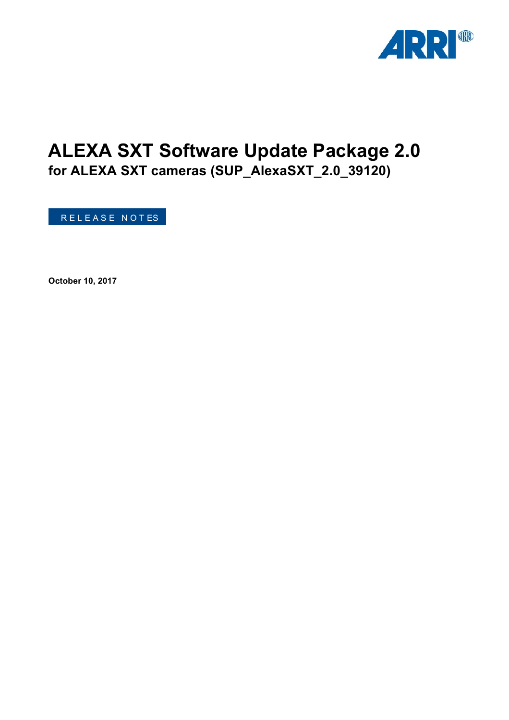

# **ALEXA SXT Software Update Package 2.0**

**for ALEXA SXT cameras (SUP\_AlexaSXT\_2.0\_39120)**

R E L E A S E N O T ES

**October 10, 2017**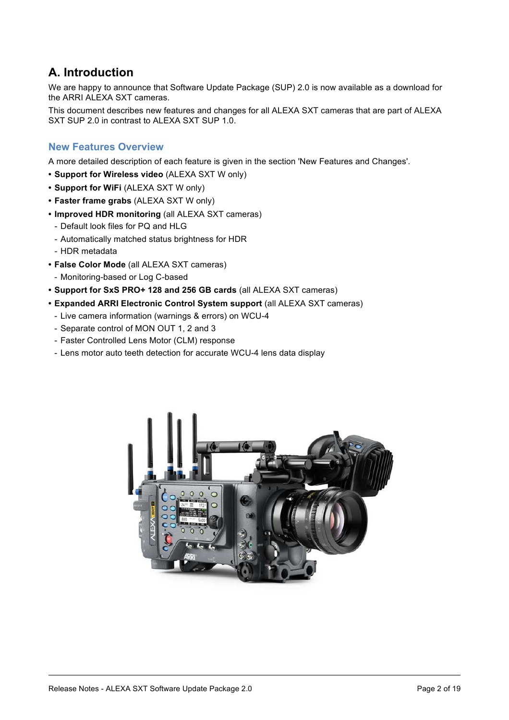# **A. Introduction**

We are happy to announce that Software Update Package (SUP) 2.0 is now available as a download for the ARRI ALEXA SXT cameras.

This document describes new features and changes for all ALEXA SXT cameras that are part of ALEXA SXT SUP 2.0 in contrast to ALEXA SXT SUP 1.0.

# **New Features Overview**

A more detailed description of each feature is given in the section 'New Features and Changes'.

- **• Support for Wireless video** (ALEXA SXT W only)
- **• Support for WiFi** (ALEXA SXT W only)
- **• Faster frame grabs** (ALEXA SXT W only)
- **• Improved HDR monitoring** (all ALEXA SXT cameras)
	- Default look files for PQ and HLG
	- Automatically matched status brightness for HDR
	- HDR metadata
- **• False Color Mode** (all ALEXA SXT cameras)
	- Monitoring-based or Log C-based
- **• Support for SxS PRO+ 128 and 256 GB cards** (all ALEXA SXT cameras)
- **• Expanded ARRI Electronic Control System support** (all ALEXA SXT cameras)
	- Live camera information (warnings & errors) on WCU-4
	- Separate control of MON OUT 1, 2 and 3
	- Faster Controlled Lens Motor (CLM) response
	- Lens motor auto teeth detection for accurate WCU-4 lens data display

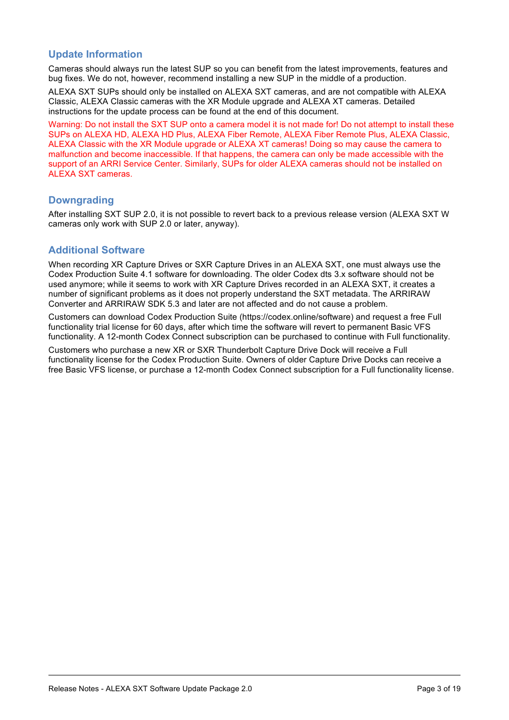# **Update Information**

Cameras should always run the latest SUP so you can benefit from the latest improvements, features and bug fixes. We do not, however, recommend installing a new SUP in the middle of a production.

ALEXA SXT SUPs should only be installed on ALEXA SXT cameras, and are not compatible with ALEXA Classic, ALEXA Classic cameras with the XR Module upgrade and ALEXA XT cameras. Detailed instructions for the update process can be found at the end of this document.

Warning: Do not install the SXT SUP onto a camera model it is not made for! Do not attempt to install these SUPs on ALEXA HD, ALEXA HD Plus, ALEXA Fiber Remote, ALEXA Fiber Remote Plus, ALEXA Classic, ALEXA Classic with the XR Module upgrade or ALEXA XT cameras! Doing so may cause the camera to malfunction and become inaccessible. If that happens, the camera can only be made accessible with the support of an ARRI Service Center. Similarly, SUPs for older ALEXA cameras should not be installed on ALEXA SXT cameras.

# **Downgrading**

After installing SXT SUP 2.0, it is not possible to revert back to a previous release version (ALEXA SXT W cameras only work with SUP 2.0 or later, anyway).

# **Additional Software**

When recording XR Capture Drives or SXR Capture Drives in an ALEXA SXT, one must always use the Codex Production Suite 4.1 software for downloading. The older Codex dts 3.x software should not be used anymore; while it seems to work with XR Capture Drives recorded in an ALEXA SXT, it creates a number of significant problems as it does not properly understand the SXT metadata. The ARRIRAW Converter and ARRIRAW SDK 5.3 and later are not affected and do not cause a problem.

Customers can download Codex Production Suite (https://codex.online/software) and request a free Full functionality trial license for 60 days, after which time the software will revert to permanent Basic VFS functionality. A 12-month Codex Connect subscription can be purchased to continue with Full functionality.

Customers who purchase a new XR or SXR Thunderbolt Capture Drive Dock will receive a Full functionality license for the Codex Production Suite. Owners of older Capture Drive Docks can receive a free Basic VFS license, or purchase a 12-month Codex Connect subscription for a Full functionality license.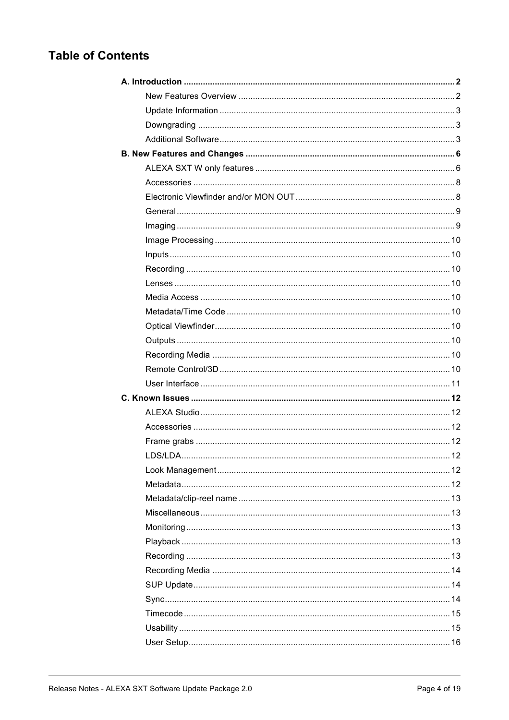# **Table of Contents**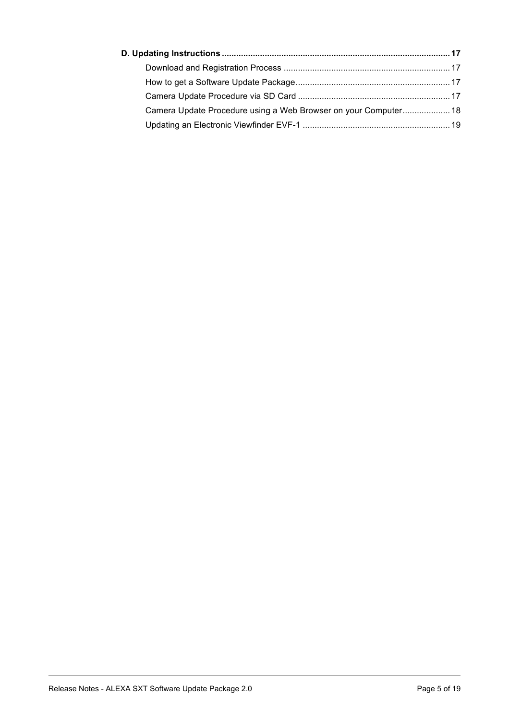| Camera Update Procedure using a Web Browser on your Computer 18 |  |
|-----------------------------------------------------------------|--|
|                                                                 |  |
|                                                                 |  |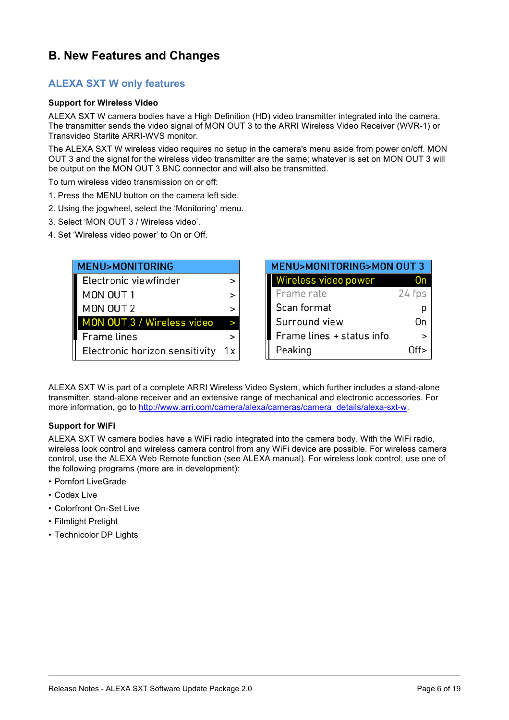# **B. New Features and Changes**

# **ALEXA SXT W only features**

#### **Support for Wireless Video**

ALEXA SXT W camera bodies have a High Definition (HD) video transmitter integrated into the camera. The transmitter sends the video signal of MON OUT 3 to the ARRI Wireless Video Receiver (WVR-1) or Transvideo Starlite ARRI-WVS monitor.

The ALEXA SXT W wireless video requires no setup in the camera's menu aside from power on/off. MON OUT 3 and the signal for the wireless video transmitter are the same; whatever is set on MON OUT 3 will be output on the MON OUT 3 BNC connector and will also be transmitted.

To turn wireless video transmission on or off:

- 1. Press the MENU button on the camera left side.
- 2. Using the jogwheel, select the 'Monitoring' menu.
- 3. Select 'MON OUT 3 / Wireless video'.
- 4. Set 'Wireless video power' to On or Off.

| <b>MENU&gt;MONITORING</b>      |        | MENU>M   |
|--------------------------------|--------|----------|
| Electronic viewfinder          |        | Wireles: |
| MON OUT 1                      | >      | Frame r  |
| MON OUT 2                      | $\geq$ | Scan for |
| MON OUT 3 / Wireless video     |        | Surrour  |
| <b>Frame lines</b>             | ⋗      | Frame l  |
| Electronic horizon sensitivity | 1 x    | Peaking  |

| <b>MENU&gt;MONITORING&gt;MON OUT 3</b> |        |  |  |
|----------------------------------------|--------|--|--|
| Wireless video power                   |        |  |  |
| Frame rate                             | 24 fps |  |  |
| Scan format                            |        |  |  |
| Surround view                          | On     |  |  |
| Frame lines + status info              |        |  |  |
| Peaking                                | Off    |  |  |

ALEXA SXT W is part of a complete ARRI Wireless Video System, which further includes a stand-alone transmitter, stand-alone receiver and an extensive range of mechanical and electronic accessories. For more information, go to http://www.arri.com/camera/alexa/cameras/camera\_details/alexa-sxt-w.

#### **Support for WiFi**

ALEXA SXT W camera bodies have a WiFi radio integrated into the camera body. With the WiFi radio, wireless look control and wireless camera control from any WiFi device are possible. For wireless camera control, use the ALEXA Web Remote function (see ALEXA manual). For wireless look control, use one of the following programs (more are in development):

- Pomfort LiveGrade
- Codex Live
- Colorfront On-Set Live
- Filmlight Prelight
- Technicolor DP Lights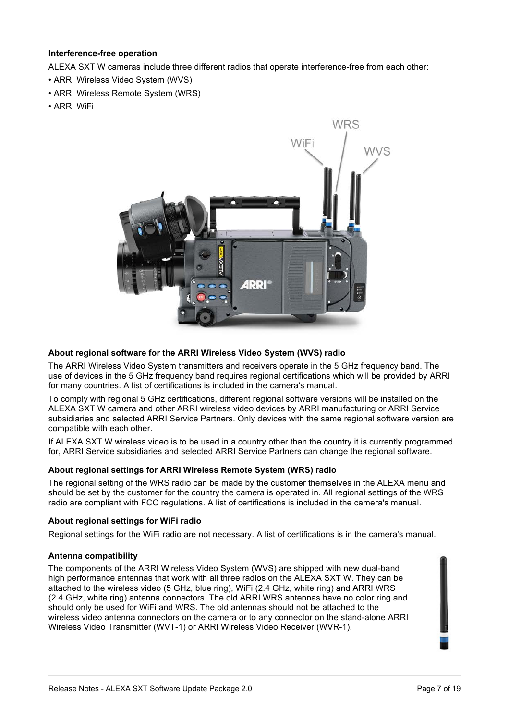#### **Interference-free operation**

ALEXA SXT W cameras include three different radios that operate interference-free from each other:

- ARRI Wireless Video System (WVS)
- ARRI Wireless Remote System (WRS)
- ARRI WiFi



#### **About regional software for the ARRI Wireless Video System (WVS) radio**

The ARRI Wireless Video System transmitters and receivers operate in the 5 GHz frequency band. The use of devices in the 5 GHz frequency band requires regional certifications which will be provided by ARRI for many countries. A list of certifications is included in the camera's manual.

To comply with regional 5 GHz certifications, different regional software versions will be installed on the ALEXA SXT W camera and other ARRI wireless video devices by ARRI manufacturing or ARRI Service subsidiaries and selected ARRI Service Partners. Only devices with the same regional software version are compatible with each other.

If ALEXA SXT W wireless video is to be used in a country other than the country it is currently programmed for, ARRI Service subsidiaries and selected ARRI Service Partners can change the regional software.

#### **About regional settings for ARRI Wireless Remote System (WRS) radio**

The regional setting of the WRS radio can be made by the customer themselves in the ALEXA menu and should be set by the customer for the country the camera is operated in. All regional settings of the WRS radio are compliant with FCC regulations. A list of certifications is included in the camera's manual.

#### **About regional settings for WiFi radio**

Regional settings for the WiFi radio are not necessary. A list of certifications is in the camera's manual.

#### **Antenna compatibility**

The components of the ARRI Wireless Video System (WVS) are shipped with new dual-band high performance antennas that work with all three radios on the ALEXA SXT W. They can be attached to the wireless video (5 GHz, blue ring), WiFi (2.4 GHz, white ring) and ARRI WRS (2.4 GHz, white ring) antenna connectors. The old ARRI WRS antennas have no color ring and should only be used for WiFi and WRS. The old antennas should not be attached to the wireless video antenna connectors on the camera or to any connector on the stand-alone ARRI Wireless Video Transmitter (WVT-1) or ARRI Wireless Video Receiver (WVR-1).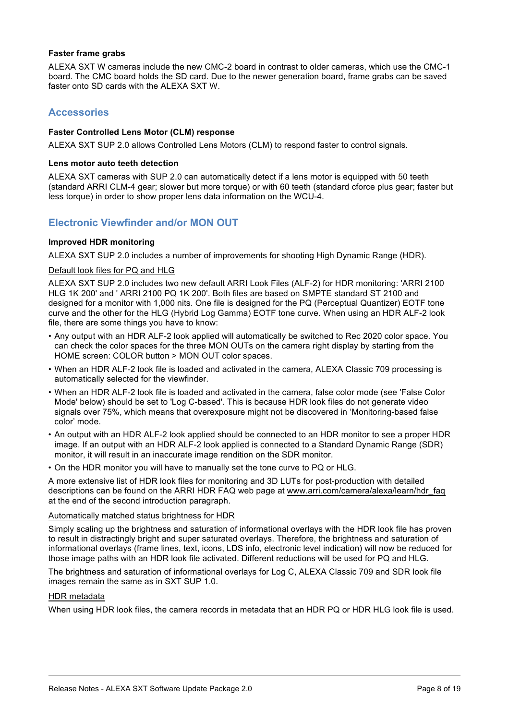#### **Faster frame grabs**

ALEXA SXT W cameras include the new CMC-2 board in contrast to older cameras, which use the CMC-1 board. The CMC board holds the SD card. Due to the newer generation board, frame grabs can be saved faster onto SD cards with the ALEXA SXT W.

# **Accessories**

#### **Faster Controlled Lens Motor (CLM) response**

ALEXA SXT SUP 2.0 allows Controlled Lens Motors (CLM) to respond faster to control signals.

#### **Lens motor auto teeth detection**

ALEXA SXT cameras with SUP 2.0 can automatically detect if a lens motor is equipped with 50 teeth (standard ARRI CLM-4 gear; slower but more torque) or with 60 teeth (standard cforce plus gear; faster but less torque) in order to show proper lens data information on the WCU-4.

# **Electronic Viewfinder and/or MON OUT**

#### **Improved HDR monitoring**

ALEXA SXT SUP 2.0 includes a number of improvements for shooting High Dynamic Range (HDR).

#### Default look files for PQ and HLG

ALEXA SXT SUP 2.0 includes two new default ARRI Look Files (ALF-2) for HDR monitoring: 'ARRI 2100 HLG 1K 200' and ' ARRI 2100 PQ 1K 200'. Both files are based on SMPTE standard ST 2100 and designed for a monitor with 1,000 nits. One file is designed for the PQ (Perceptual Quantizer) EOTF tone curve and the other for the HLG (Hybrid Log Gamma) EOTF tone curve. When using an HDR ALF-2 look file, there are some things you have to know:

- Any output with an HDR ALF-2 look applied will automatically be switched to Rec 2020 color space. You can check the color spaces for the three MON OUTs on the camera right display by starting from the HOME screen: COLOR button > MON OUT color spaces.
- When an HDR ALF-2 look file is loaded and activated in the camera, ALEXA Classic 709 processing is automatically selected for the viewfinder.
- When an HDR ALF-2 look file is loaded and activated in the camera, false color mode (see 'False Color Mode' below) should be set to 'Log C-based'. This is because HDR look files do not generate video signals over 75%, which means that overexposure might not be discovered in 'Monitoring-based false color' mode.
- An output with an HDR ALF-2 look applied should be connected to an HDR monitor to see a proper HDR image. If an output with an HDR ALF-2 look applied is connected to a Standard Dynamic Range (SDR) monitor, it will result in an inaccurate image rendition on the SDR monitor.
- On the HDR monitor you will have to manually set the tone curve to PQ or HLG.

A more extensive list of HDR look files for monitoring and 3D LUTs for post-production with detailed descriptions can be found on the ARRI HDR FAQ web page at www.arri.com/camera/alexa/learn/hdr\_faq at the end of the second introduction paragraph.

#### Automatically matched status brightness for HDR

Simply scaling up the brightness and saturation of informational overlays with the HDR look file has proven to result in distractingly bright and super saturated overlays. Therefore, the brightness and saturation of informational overlays (frame lines, text, icons, LDS info, electronic level indication) will now be reduced for those image paths with an HDR look file activated. Different reductions will be used for PQ and HLG.

The brightness and saturation of informational overlays for Log C, ALEXA Classic 709 and SDR look file images remain the same as in SXT SUP 1.0.

#### HDR metadata

When using HDR look files, the camera records in metadata that an HDR PQ or HDR HLG look file is used.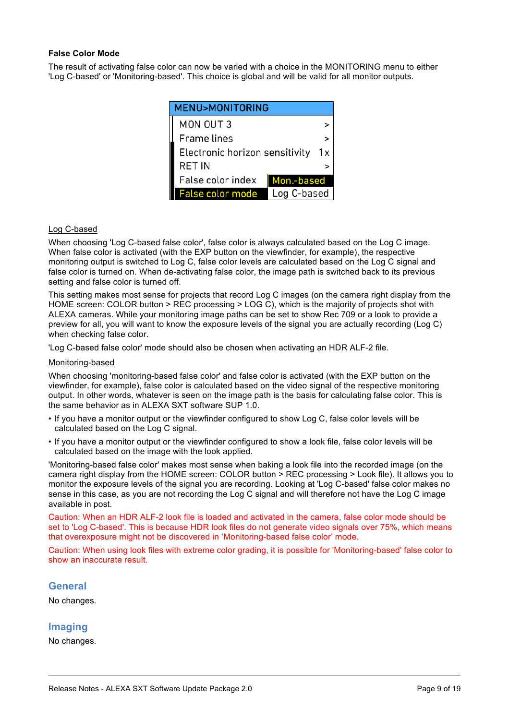#### **False Color Mode**

The result of activating false color can now be varied with a choice in the MONITORING menu to either 'Log C-based' or 'Monitoring-based'. This choice is global and will be valid for all monitor outputs.

| <b>MENU&gt;MONITORING</b>              |  |  |  |  |
|----------------------------------------|--|--|--|--|
| MON OUT 3                              |  |  |  |  |
| <b>Frame lines</b>                     |  |  |  |  |
| Electronic horizon sensitivity         |  |  |  |  |
| <b>RET IN</b>                          |  |  |  |  |
| False color index<br>Mon.-based        |  |  |  |  |
| Log C-based<br><b>False color mode</b> |  |  |  |  |

#### Log C-based

When choosing 'Log C-based false color', false color is always calculated based on the Log C image. When false color is activated (with the EXP button on the viewfinder, for example), the respective monitoring output is switched to Log C, false color levels are calculated based on the Log C signal and false color is turned on. When de-activating false color, the image path is switched back to its previous setting and false color is turned off.

This setting makes most sense for projects that record Log C images (on the camera right display from the HOME screen: COLOR button > REC processing > LOG C), which is the majority of projects shot with ALEXA cameras. While your monitoring image paths can be set to show Rec 709 or a look to provide a preview for all, you will want to know the exposure levels of the signal you are actually recording (Log C) when checking false color.

'Log C-based false color' mode should also be chosen when activating an HDR ALF-2 file.

#### Monitoring-based

When choosing 'monitoring-based false color' and false color is activated (with the EXP button on the viewfinder, for example), false color is calculated based on the video signal of the respective monitoring output. In other words, whatever is seen on the image path is the basis for calculating false color. This is the same behavior as in ALEXA SXT software SUP 1.0.

- If you have a monitor output or the viewfinder configured to show Log C, false color levels will be calculated based on the Log C signal.
- If you have a monitor output or the viewfinder configured to show a look file, false color levels will be calculated based on the image with the look applied.

'Monitoring-based false color' makes most sense when baking a look file into the recorded image (on the camera right display from the HOME screen: COLOR button > REC processing > Look file). It allows you to monitor the exposure levels of the signal you are recording. Looking at 'Log C-based' false color makes no sense in this case, as you are not recording the Log C signal and will therefore not have the Log C image available in post.

Caution: When an HDR ALF-2 look file is loaded and activated in the camera, false color mode should be set to 'Log C-based'. This is because HDR look files do not generate video signals over 75%, which means that overexposure might not be discovered in 'Monitoring-based false color' mode.

Caution: When using look files with extreme color grading, it is possible for 'Monitoring-based' false color to show an inaccurate result.

#### **General**

No changes.

#### **Imaging**

No changes.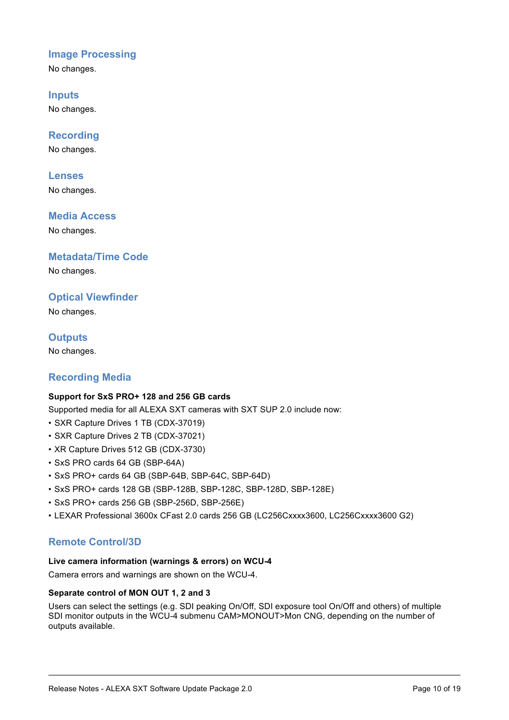# **Image Processing**

No changes.

**Inputs** No changes.

**Recording**

No changes.

**Lenses**

No changes.

**Media Access**

No changes.

**Metadata/Time Code**

No changes.

# **Optical Viewfinder**

No changes.

**Outputs** No changes.

# **Recording Media**

# **Support for SxS PRO+ 128 and 256 GB cards**

Supported media for all ALEXA SXT cameras with SXT SUP 2.0 include now:

- SXR Capture Drives 1 TB (CDX-37019)
- SXR Capture Drives 2 TB (CDX-37021)
- XR Capture Drives 512 GB (CDX-3730)
- SxS PRO cards 64 GB (SBP-64A)
- SxS PRO+ cards 64 GB (SBP-64B, SBP-64C, SBP-64D)
- SxS PRO+ cards 128 GB (SBP-128B, SBP-128C, SBP-128D, SBP-128E)
- SxS PRO+ cards 256 GB (SBP-256D, SBP-256E)
- LEXAR Professional 3600x CFast 2.0 cards 256 GB (LC256Cxxxx3600, LC256Cxxxx3600 G2)

# **Remote Control/3D**

# **Live camera information (warnings & errors) on WCU-4**

Camera errors and warnings are shown on the WCU-4.

# **Separate control of MON OUT 1, 2 and 3**

Users can select the settings (e.g. SDI peaking On/Off, SDI exposure tool On/Off and others) of multiple SDI monitor outputs in the WCU-4 submenu CAM>MONOUT>Mon CNG, depending on the number of outputs available.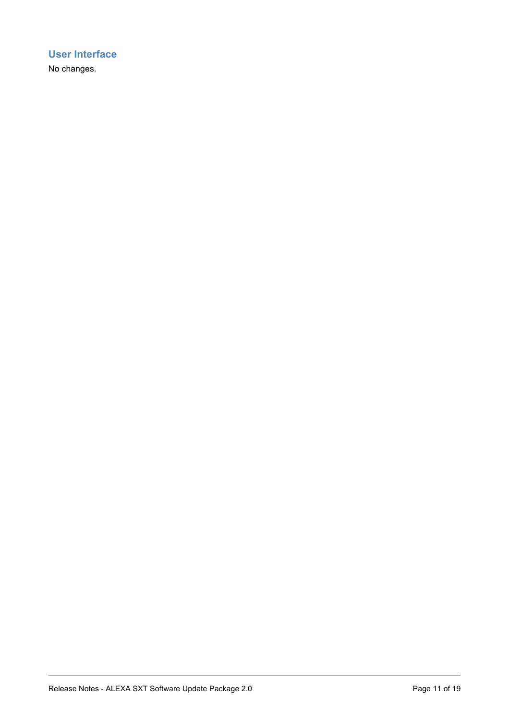# **User Interface**

No changes.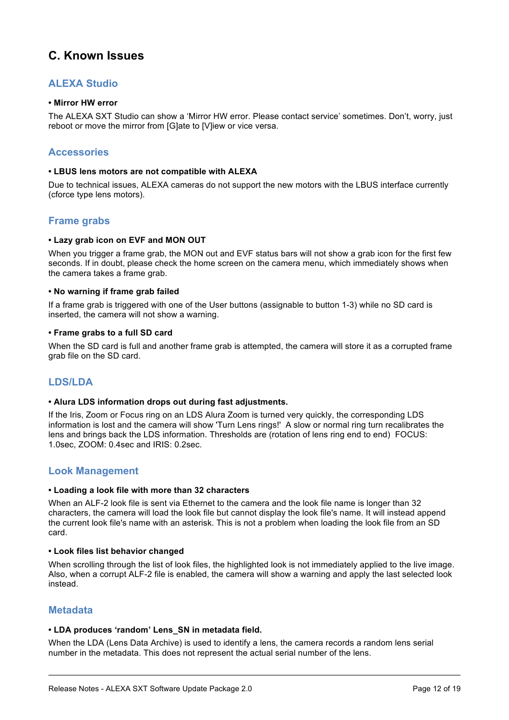# **C. Known Issues**

# **ALEXA Studio**

#### **• Mirror HW error**

The ALEXA SXT Studio can show a 'Mirror HW error. Please contact service' sometimes. Don't, worry, just reboot or move the mirror from [G]ate to [V]iew or vice versa.

#### **Accessories**

#### **• LBUS lens motors are not compatible with ALEXA**

Due to technical issues, ALEXA cameras do not support the new motors with the LBUS interface currently (cforce type lens motors).

# **Frame grabs**

#### **• Lazy grab icon on EVF and MON OUT**

When you trigger a frame grab, the MON out and EVF status bars will not show a grab icon for the first few seconds. If in doubt, please check the home screen on the camera menu, which immediately shows when the camera takes a frame grab.

#### **• No warning if frame grab failed**

If a frame grab is triggered with one of the User buttons (assignable to button 1-3) while no SD card is inserted, the camera will not show a warning.

#### **• Frame grabs to a full SD card**

When the SD card is full and another frame grab is attempted, the camera will store it as a corrupted frame grab file on the SD card.

# **LDS/LDA**

#### **• Alura LDS information drops out during fast adjustments.**

If the Iris, Zoom or Focus ring on an LDS Alura Zoom is turned very quickly, the corresponding LDS information is lost and the camera will show 'Turn Lens rings!' A slow or normal ring turn recalibrates the lens and brings back the LDS information. Thresholds are (rotation of lens ring end to end) FOCUS: 1.0sec, ZOOM: 0.4sec and IRIS: 0.2sec.

# **Look Management**

#### **• Loading a look file with more than 32 characters**

When an ALF-2 look file is sent via Ethernet to the camera and the look file name is longer than 32 characters, the camera will load the look file but cannot display the look file's name. It will instead append the current look file's name with an asterisk. This is not a problem when loading the look file from an SD card.

#### **• Look files list behavior changed**

When scrolling through the list of look files, the highlighted look is not immediately applied to the live image. Also, when a corrupt ALF-2 file is enabled, the camera will show a warning and apply the last selected look instead.

# **Metadata**

#### **• LDA produces 'random' Lens\_SN in metadata field.**

When the LDA (Lens Data Archive) is used to identify a lens, the camera records a random lens serial number in the metadata. This does not represent the actual serial number of the lens.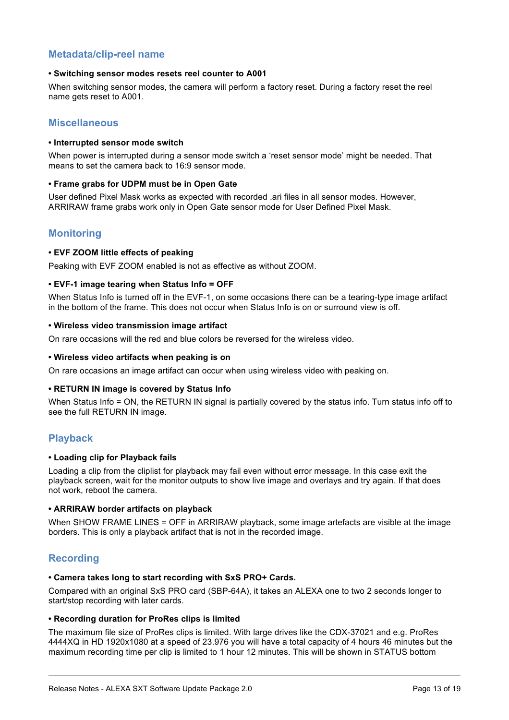# **Metadata/clip-reel name**

#### **• Switching sensor modes resets reel counter to A001**

When switching sensor modes, the camera will perform a factory reset. During a factory reset the reel name gets reset to A001.

# **Miscellaneous**

#### **• Interrupted sensor mode switch**

When power is interrupted during a sensor mode switch a 'reset sensor mode' might be needed. That means to set the camera back to 16:9 sensor mode.

#### **• Frame grabs for UDPM must be in Open Gate**

User defined Pixel Mask works as expected with recorded .ari files in all sensor modes. However, ARRIRAW frame grabs work only in Open Gate sensor mode for User Defined Pixel Mask.

# **Monitoring**

#### **• EVF ZOOM little effects of peaking**

Peaking with EVF ZOOM enabled is not as effective as without ZOOM.

#### **• EVF-1 image tearing when Status Info = OFF**

When Status Info is turned off in the EVF-1, on some occasions there can be a tearing-type image artifact in the bottom of the frame. This does not occur when Status Info is on or surround view is off.

#### **• Wireless video transmission image artifact**

On rare occasions will the red and blue colors be reversed for the wireless video.

#### **• Wireless video artifacts when peaking is on**

On rare occasions an image artifact can occur when using wireless video with peaking on.

#### **• RETURN IN image is covered by Status Info**

When Status Info = ON, the RETURN IN signal is partially covered by the status info. Turn status info off to see the full RETURN IN image.

# **Playback**

#### **• Loading clip for Playback fails**

Loading a clip from the cliplist for playback may fail even without error message. In this case exit the playback screen, wait for the monitor outputs to show live image and overlays and try again. If that does not work, reboot the camera.

#### **• ARRIRAW border artifacts on playback**

When SHOW FRAME LINES = OFF in ARRIRAW playback, some image artefacts are visible at the image borders. This is only a playback artifact that is not in the recorded image.

# **Recording**

#### **• Camera takes long to start recording with SxS PRO+ Cards.**

Compared with an original SxS PRO card (SBP-64A), it takes an ALEXA one to two 2 seconds longer to start/stop recording with later cards.

#### **• Recording duration for ProRes clips is limited**

The maximum file size of ProRes clips is limited. With large drives like the CDX-37021 and e.g. ProRes 4444XQ in HD 1920x1080 at a speed of 23.976 you will have a total capacity of 4 hours 46 minutes but the maximum recording time per clip is limited to 1 hour 12 minutes. This will be shown in STATUS bottom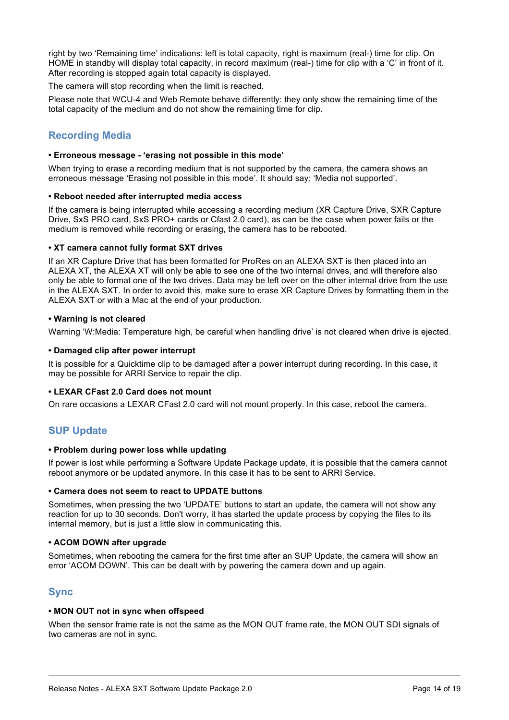right by two 'Remaining time' indications: left is total capacity, right is maximum (real-) time for clip. On HOME in standby will display total capacity, in record maximum (real-) time for clip with a 'C' in front of it. After recording is stopped again total capacity is displayed.

The camera will stop recording when the limit is reached.

Please note that WCU-4 and Web Remote behave differently: they only show the remaining time of the total capacity of the medium and do not show the remaining time for clip.

# **Recording Media**

#### **• Erroneous message - 'erasing not possible in this mode'**

When trying to erase a recording medium that is not supported by the camera, the camera shows an erroneous message 'Erasing not possible in this mode'. It should say: 'Media not supported'.

#### **• Reboot needed after interrupted media access**

If the camera is being interrupted while accessing a recording medium (XR Capture Drive, SXR Capture Drive, SxS PRO card, SxS PRO+ cards or Cfast 2.0 card), as can be the case when power fails or the medium is removed while recording or erasing, the camera has to be rebooted.

#### **• XT camera cannot fully format SXT drives**

If an XR Capture Drive that has been formatted for ProRes on an ALEXA SXT is then placed into an ALEXA XT, the ALEXA XT will only be able to see one of the two internal drives, and will therefore also only be able to format one of the two drives. Data may be left over on the other internal drive from the use in the ALEXA SXT. In order to avoid this, make sure to erase XR Capture Drives by formatting them in the ALEXA SXT or with a Mac at the end of your production.

#### **• Warning is not cleared**

Warning 'W:Media: Temperature high, be careful when handling drive' is not cleared when drive is ejected.

#### **• Damaged clip after power interrupt**

It is possible for a Quicktime clip to be damaged after a power interrupt during recording. In this case, it may be possible for ARRI Service to repair the clip.

#### **• LEXAR CFast 2.0 Card does not mount**

On rare occasions a LEXAR CFast 2.0 card will not mount properly. In this case, reboot the camera.

# **SUP Update**

#### **• Problem during power loss while updating**

If power is lost while performing a Software Update Package update, it is possible that the camera cannot reboot anymore or be updated anymore. In this case it has to be sent to ARRI Service.

#### **• Camera does not seem to react to UPDATE buttons**

Sometimes, when pressing the two 'UPDATE' buttons to start an update, the camera will not show any reaction for up to 30 seconds. Don't worry, it has started the update process by copying the files to its internal memory, but is just a little slow in communicating this.

#### **• ACOM DOWN after upgrade**

Sometimes, when rebooting the camera for the first time after an SUP Update, the camera will show an error 'ACOM DOWN'. This can be dealt with by powering the camera down and up again.

# **Sync**

#### **• MON OUT not in sync when offspeed**

When the sensor frame rate is not the same as the MON OUT frame rate, the MON OUT SDI signals of two cameras are not in sync.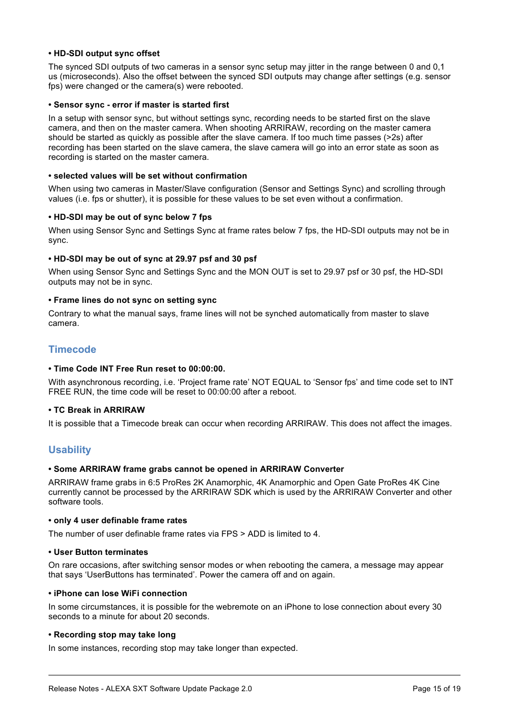#### **• HD-SDI output sync offset**

The synced SDI outputs of two cameras in a sensor sync setup may jitter in the range between 0 and 0,1 us (microseconds). Also the offset between the synced SDI outputs may change after settings (e.g. sensor fps) were changed or the camera(s) were rebooted.

#### **• Sensor sync - error if master is started first**

In a setup with sensor sync, but without settings sync, recording needs to be started first on the slave camera, and then on the master camera. When shooting ARRIRAW, recording on the master camera should be started as quickly as possible after the slave camera. If too much time passes (>2s) after recording has been started on the slave camera, the slave camera will go into an error state as soon as recording is started on the master camera.

#### **• selected values will be set without confirmation**

When using two cameras in Master/Slave configuration (Sensor and Settings Sync) and scrolling through values (i.e. fps or shutter), it is possible for these values to be set even without a confirmation.

#### **• HD-SDI may be out of sync below 7 fps**

When using Sensor Sync and Settings Sync at frame rates below 7 fps, the HD-SDI outputs may not be in sync.

#### **• HD-SDI may be out of sync at 29.97 psf and 30 psf**

When using Sensor Sync and Settings Sync and the MON OUT is set to 29.97 psf or 30 psf, the HD-SDI outputs may not be in sync.

#### **• Frame lines do not sync on setting sync**

Contrary to what the manual says, frame lines will not be synched automatically from master to slave camera.

# **Timecode**

#### **• Time Code INT Free Run reset to 00:00:00.**

With asynchronous recording, i.e. 'Project frame rate' NOT EQUAL to 'Sensor fps' and time code set to INT FREE RUN, the time code will be reset to 00:00:00 after a reboot.

#### **• TC Break in ARRIRAW**

It is possible that a Timecode break can occur when recording ARRIRAW. This does not affect the images.

# **Usability**

#### **• Some ARRIRAW frame grabs cannot be opened in ARRIRAW Converter**

ARRIRAW frame grabs in 6:5 ProRes 2K Anamorphic, 4K Anamorphic and Open Gate ProRes 4K Cine currently cannot be processed by the ARRIRAW SDK which is used by the ARRIRAW Converter and other software tools.

#### **• only 4 user definable frame rates**

The number of user definable frame rates via FPS > ADD is limited to 4.

#### **• User Button terminates**

On rare occasions, after switching sensor modes or when rebooting the camera, a message may appear that says 'UserButtons has terminated'. Power the camera off and on again.

#### **• iPhone can lose WiFi connection**

In some circumstances, it is possible for the webremote on an iPhone to lose connection about every 30 seconds to a minute for about 20 seconds.

#### **• Recording stop may take long**

In some instances, recording stop may take longer than expected.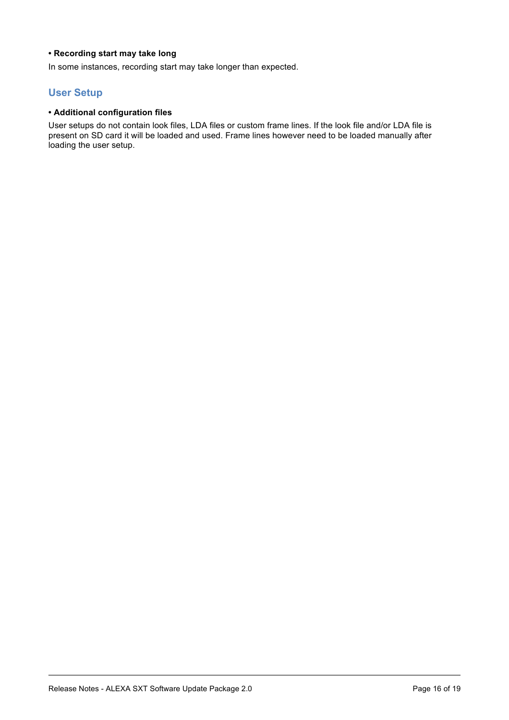#### **• Recording start may take long**

In some instances, recording start may take longer than expected.

# **User Setup**

#### **• Additional configuration files**

User setups do not contain look files, LDA files or custom frame lines. If the look file and/or LDA file is present on SD card it will be loaded and used. Frame lines however need to be loaded manually after loading the user setup.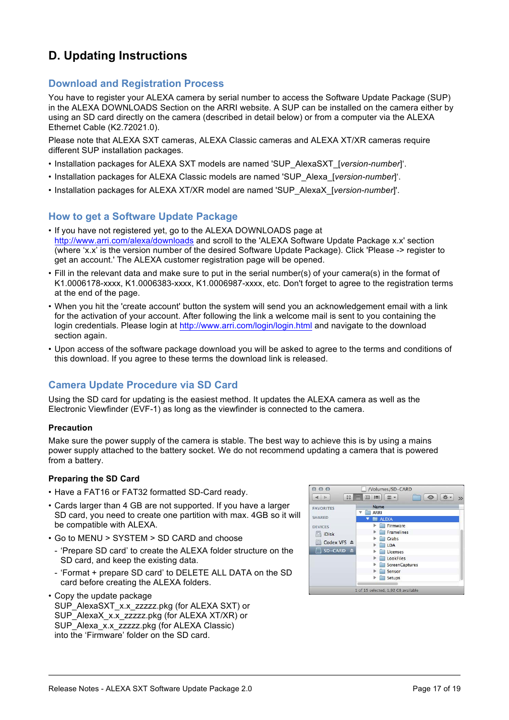# **D. Updating Instructions**

# **Download and Registration Process**

You have to register your ALEXA camera by serial number to access the Software Update Package (SUP) in the ALEXA DOWNLOADS Section on the ARRI website. A SUP can be installed on the camera either by using an SD card directly on the camera (described in detail below) or from a computer via the ALEXA Ethernet Cable (K2.72021.0).

Please note that ALEXA SXT cameras, ALEXA Classic cameras and ALEXA XT/XR cameras require different SUP installation packages.

- Installation packages for ALEXA SXT models are named 'SUP\_AlexaSXT\_[*version-number*]'.
- Installation packages for ALEXA Classic models are named 'SUP\_Alexa\_[*version-number*]'.
- Installation packages for ALEXA XT/XR model are named 'SUP\_AlexaX\_[*version-number*]'.

# **How to get a Software Update Package**

- If you have not registered yet, go to the ALEXA DOWNLOADS page at http://www.arri.com/alexa/downloads and scroll to the 'ALEXA Software Update Package x.x' section (where 'x.x' is the version number of the desired Software Update Package). Click 'Please -> register to get an account.' The ALEXA customer registration page will be opened.
- Fill in the relevant data and make sure to put in the serial number(s) of your camera(s) in the format of K1.0006178-xxxx, K1.0006383-xxxx, K1.0006987-xxxx, etc. Don't forget to agree to the registration terms at the end of the page.
- When you hit the 'create account' button the system will send you an acknowledgement email with a link for the activation of your account. After following the link a welcome mail is sent to you containing the login credentials. Please login at http://www.arri.com/login/login.html and navigate to the download section again.
- Upon access of the software package download you will be asked to agree to the terms and conditions of this download. If you agree to these terms the download link is released.

# **Camera Update Procedure via SD Card**

Using the SD card for updating is the easiest method. It updates the ALEXA camera as well as the Electronic Viewfinder (EVF-1) as long as the viewfinder is connected to the camera.

#### **Precaution**

Make sure the power supply of the camera is stable. The best way to achieve this is by using a mains power supply attached to the battery socket. We do not recommend updating a camera that is powered from a battery.

#### **Preparing the SD Card**

- Have a FAT16 or FAT32 formatted SD-Card ready.
- Cards larger than 4 GB are not supported. If you have a larger SD card, you need to create one partition with max. 4GB so it will be compatible with ALEXA.
- Go to MENU > SYSTEM > SD CARD and choose
	- 'Prepare SD card' to create the ALEXA folder structure on the SD card, and keep the existing data.
	- 'Format + prepare SD card' to DELETE ALL DATA on the SD card before creating the ALEXA folders.
- Copy the update package

SUP\_AlexaSXT\_x.x\_zzzzz.pkg (for ALEXA SXT) or SUP\_AlexaX\_x.x\_zzzzz.pkg (for ALEXA XT/XR) or SUP\_Alexa\_x.x\_zzzzz.pkg (for ALEXA Classic) into the 'Firmware' folder on the SD card.

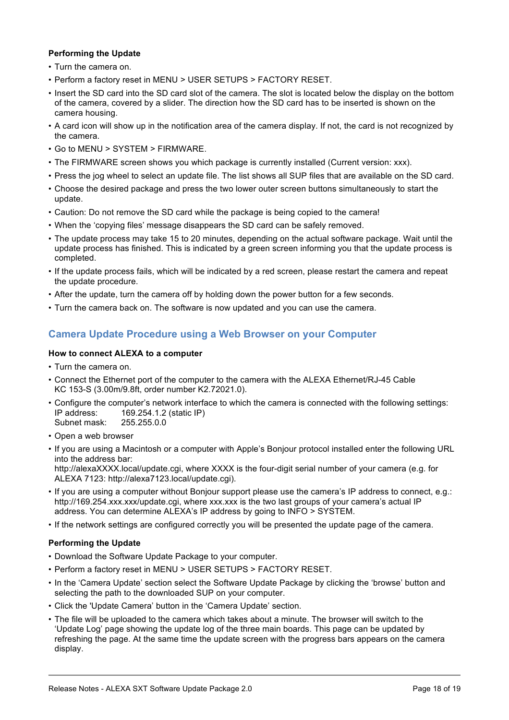#### **Performing the Update**

- Turn the camera on.
- Perform a factory reset in MENU > USER SETUPS > FACTORY RESET.
- Insert the SD card into the SD card slot of the camera. The slot is located below the display on the bottom of the camera, covered by a slider. The direction how the SD card has to be inserted is shown on the camera housing.
- A card icon will show up in the notification area of the camera display. If not, the card is not recognized by the camera.
- Go to MENU > SYSTEM > FIRMWARE.
- The FIRMWARE screen shows you which package is currently installed (Current version: xxx).
- Press the jog wheel to select an update file. The list shows all SUP files that are available on the SD card.
- Choose the desired package and press the two lower outer screen buttons simultaneously to start the update.
- Caution: Do not remove the SD card while the package is being copied to the camera!
- When the 'copying files' message disappears the SD card can be safely removed.
- The update process may take 15 to 20 minutes, depending on the actual software package. Wait until the update process has finished. This is indicated by a green screen informing you that the update process is completed.
- If the update process fails, which will be indicated by a red screen, please restart the camera and repeat the update procedure.
- After the update, turn the camera off by holding down the power button for a few seconds.
- Turn the camera back on. The software is now updated and you can use the camera.

# **Camera Update Procedure using a Web Browser on your Computer**

#### **How to connect ALEXA to a computer**

- Turn the camera on.
- Connect the Ethernet port of the computer to the camera with the ALEXA Ethernet/RJ-45 Cable KC 153-S (3.00m/9.8ft, order number K2.72021.0).
- Configure the computer's network interface to which the camera is connected with the following settings: IP address: 169.254.1.2 (static IP) Subnet mask: 255.255.0.0
- Open a web browser
- If you are using a Macintosh or a computer with Apple's Bonjour protocol installed enter the following URL into the address bar: http://alexaXXXX.local/update.cgi, where XXXX is the four-digit serial number of your camera (e.g. for ALEXA 7123: http://alexa7123.local/update.cgi).
- If you are using a computer without Bonjour support please use the camera's IP address to connect, e.g.: http://169.254.xxx.xxx/update.cgi, where xxx.xxx is the two last groups of your camera's actual IP address. You can determine ALEXA's IP address by going to INFO > SYSTEM.
- If the network settings are configured correctly you will be presented the update page of the camera.

#### **Performing the Update**

- Download the Software Update Package to your computer.
- Perform a factory reset in MENU > USER SETUPS > FACTORY RESET.
- In the 'Camera Update' section select the Software Update Package by clicking the 'browse' button and selecting the path to the downloaded SUP on your computer.
- Click the 'Update Camera' button in the 'Camera Update' section.
- The file will be uploaded to the camera which takes about a minute. The browser will switch to the 'Update Log' page showing the update log of the three main boards. This page can be updated by refreshing the page. At the same time the update screen with the progress bars appears on the camera display.